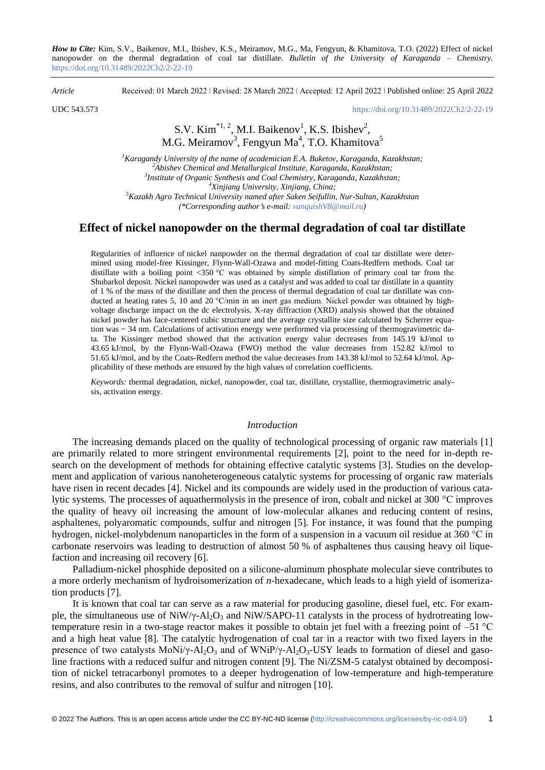*How to Cite:* Kim, S.V., Baikenov, M.I., Ibishev, K.S., Meiramov, M.G., Ma, Fengyun, & Khamitova, T.O. (2022) Effect of nickel nanopowder on the thermal degradation of coal tar distillate. *Bulletin of the University of Karaganda – Chemistry.*  https://doi.org/10.31489/2022Ch2/2-22-19

*Article* Received: 01 March 2022 ǀ Revised: 28 March 2022 ǀ Accepted: 12 April 2022 ǀ Published online: 25 April 2022

UDC 543.573 <https://doi.org/10.31489/2022Ch2/2-22-19>

# S.V. Kim<sup>\*1, 2</sup>, M.I. Baikenov<sup>1</sup>, K.S. Ibishev<sup>2</sup>, M.G. Meiramov<sup>3</sup>, Fengyun Ma<sup>4</sup>, T.O. Khamitova<sup>5</sup>

*Karagandy University of the name of academician E.A. Buketov, Karaganda, Kazakhstan; Abishev Chemical and Metallurgical Institute, Karaganda, Kazakhstan; Institute of Organic Synthesis and Coal Chemistry, Karaganda, Kazakhstan; Xinjiang University, Xinjiang, China; Kazakh Agro Technical University named after Saken Seifullin, Nur-Sultan, Kazakhstan (\*Corresponding authors e-mail: [vanquishV8@mail.ru\)](mailto:vanquishV8@mail.ru)*

### **Effect of nickel nanopowder on the thermal degradation of coal tar distillate**

Regularities of influence of nickel nanpowder on the thermal degradation of coal tar distillate were determined using model-free Kissinger, Flynn-Wall-Ozawa and model-fitting Coats-Redfern methods. Coal tar distillate with a boiling point  $\langle 350 \degree C \rangle$  was obtained by simple distillation of primary coal tar from the Shubarkol deposit. Nickel nanopowder was used as a catalyst and was added to coal tar distillate in a quantity of 1 % of the mass of the distillate and then the process of thermal degradation of coal tar distillate was conducted at heating rates 5, 10 and 20 °C/min in an inert gas medium. Nickel powder was obtained by highvoltage discharge impact on the dc electrolysis. X-ray diffraction (XRD) analysis showed that the obtained nickel powder has face-centered cubic structure and the average crystallite size calculated by Scherrer equation was ~ 34 nm. Calculations of activation energy were performed via processing of thermogravimetric data. The Kissinger method showed that the activation energy value decreases from 145.19 kJ/mol to 43.65 kJ/mol, by the Flynn-Wall-Ozawa (FWO) method the value decreases from 152.82 kJ/mol to 51.65 kJ/mol, and by the Coats-Redfern method the value decreases from 143.38 kJ/mol to 52.64 kJ/mol. Applicability of these methods are ensured by the high values of correlation coefficients.

*Keywords:* thermal degradation, nickel, nanopowder, coal tar, distillate, crystallite, thermogravimetric analysis, activation energy.

### *Introduction*

The increasing demands placed on the quality of technological processing of organic raw materials [1] are primarily related to more stringent environmental requirements [2], point to the need for in-depth research on the development of methods for obtaining effective catalytic systems [3]. Studies on the development and application of various nanoheterogeneous catalytic systems for processing of organic raw materials have risen in recent decades [4]. Nickel and its compounds are widely used in the production of various catalytic systems. The processes of aquathermolysis in the presence of iron, cobalt and nickel at 300 °C improves the quality of heavy oil increasing the amount of low-molecular alkanes and reducing content of resins, asphaltenes, polyaromatic compounds, sulfur and nitrogen [5]. For instance, it was found that the pumping hydrogen, nickel-molybdenum nanoparticles in the form of a suspension in a vacuum oil residue at 360 °C in carbonate reservoirs was leading to destruction of almost 50 % of asphaltenes thus causing heavy oil liquefaction and increasing oil recovery [6].

Palladium-nickel phosphide deposited on a silicone-aluminum phosphate molecular sieve contributes to a more orderly mechanism of hydroisomerization of *n*-hexadecane, which leads to a high yield of isomerization products [7].

It is known that coal tar can serve as a raw material for producing gasoline, diesel fuel, etc. For example, the simultaneous use of NiW/ $\gamma$ -Al<sub>2</sub>O<sub>3</sub> and NiW/SAPO-11 catalysts in the process of hydrotreating lowtemperature resin in a two-stage reactor makes it possible to obtain jet fuel with a freezing point of –51 °C and a high heat value [8]. The catalytic hydrogenation of coal tar in a reactor with two fixed layers in the presence of two catalysts MoNi/ $\gamma$ -Al<sub>2</sub>O<sub>3</sub> and of WNiP/ $\gamma$ -Al<sub>2</sub>O<sub>3</sub>-USY leads to formation of diesel and gasoline fractions with a reduced sulfur and nitrogen content [9]. The Ni/ZSM-5 catalyst obtained by decomposition of nickel tetracarbonyl promotes to a deeper hydrogenation of low-temperature and high-temperature resins, and also contributes to the removal of sulfur and nitrogen [10].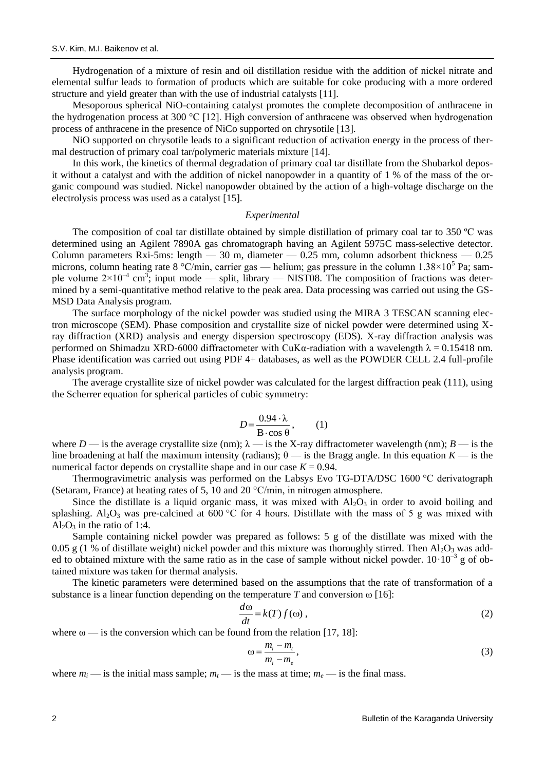Hydrogenation of a mixture of resin and oil distillation residue with the addition of nickel nitrate and elemental sulfur leads to formation of products which are suitable for coke producing with a more ordered structure and yield greater than with the use of industrial catalysts [11].

Mesoporous spherical NiO-containing catalyst promotes the complete decomposition of anthracene in the hydrogenation process at 300 °C [12]. High conversion of anthracene was observed when hydrogenation process of anthracene in the presence of NiCo supported on chrysotile [13].

NiO supported on chrysotile leads to a significant reduction of activation energy in the process of thermal destruction of primary coal tar/polymeric materials mixture [14].

In this work, the kinetics of thermal degradation of primary coal tar distillate from the Shubarkol deposit without a catalyst and with the addition of nickel nanopowder in a quantity of 1 % of the mass of the organic compound was studied. Nickel nanopowder obtained by the action of a high-voltage discharge on the electrolysis process was used as a catalyst [15].

#### *Experimental*

The composition of coal tar distillate obtained by simple distillation of primary coal tar to 350 ºC was determined using an Agilent 7890A gas chromatograph having an Agilent 5975C mass-selective detector. Column parameters Rxi-5ms: length  $-30$  m, diameter  $-0.25$  mm, column adsorbent thickness  $-0.25$ microns, column heating rate 8 °C/min, carrier gas — helium; gas pressure in the column 1.38×10<sup>5</sup> Pa; sample volume  $2\times10^{-4}$  cm<sup>3</sup>; input mode — split, library — NIST08. The composition of fractions was determined by a semi-quantitative method relative to the peak area. Data processing was carried out using the GS-MSD Data Analysis program.

The surface morphology of the nickel powder was studied using the MIRA 3 TESCAN scanning electron microscope (SEM). Phase composition and crystallite size of nickel powder were determined using Xray diffraction (XRD) analysis and energy dispersion spectroscopy (EDS). X-ray diffraction analysis was performed on Shimadzu XRD-6000 diffractometer with CuK $\alpha$ -radiation with a wavelength  $\lambda = 0.15418$  nm. Phase identification was carried out using PDF 4+ databases, as well as the POWDER CELL 2.4 full-profile analysis program.

The average crystallite size of nickel powder was calculated for the largest diffraction peak (111), using the Scherrer equation for spherical particles of cubic symmetry:

$$
D = \frac{0.94 \cdot \lambda}{\text{B} \cdot \cos \theta}, \quad (1)
$$

where *D* — is the average crystallite size (nm);  $\lambda$  — is the X-ray diffractometer wavelength (nm); *B* — is the line broadening at half the maximum intensity (radians);  $\theta$  — is the Bragg angle. In this equation *K* — is the numerical factor depends on crystallite shape and in our case  $K = 0.94$ .

Thermogravimetric analysis was performed on the Labsys Evo TG-DTA/DSC 1600 °C derivatograph (Setaram, France) at heating rates of 5, 10 and 20 °C/min, in nitrogen atmosphere.

Since the distillate is a liquid organic mass, it was mixed with  $Al_2O_3$  in order to avoid boiling and splashing. Al<sub>2</sub>O<sub>3</sub> was pre-calcined at 600 °C for 4 hours. Distillate with the mass of 5 g was mixed with  $Al_2O_3$  in the ratio of 1:4.

Sample containing nickel powder was prepared as follows: 5 g of the distillate was mixed with the 0.05 g (1 % of distillate weight) nickel powder and this mixture was thoroughly stirred. Then  $Al_2O_3$  was added to obtained mixture with the same ratio as in the case of sample without nickel powder.  $10 \cdot 10^{-3}$  g of obtained mixture was taken for thermal analysis.

The kinetic parameters were determined based on the assumptions that the rate of transformation of a substance is a linear function depending on the temperature  $T$  and conversion  $\omega$  [16]:

$$
\frac{d\omega}{dt} = k(T)f(\omega),\tag{2}
$$

where  $\omega$  — is the conversion which can be found from the relation [17, 18]:

$$
\omega = \frac{m_i - m_t}{m_i - m_e},\tag{3}
$$

where  $m_i$  — is the initial mass sample;  $m_i$  — is the mass at time;  $m_e$  — is the final mass.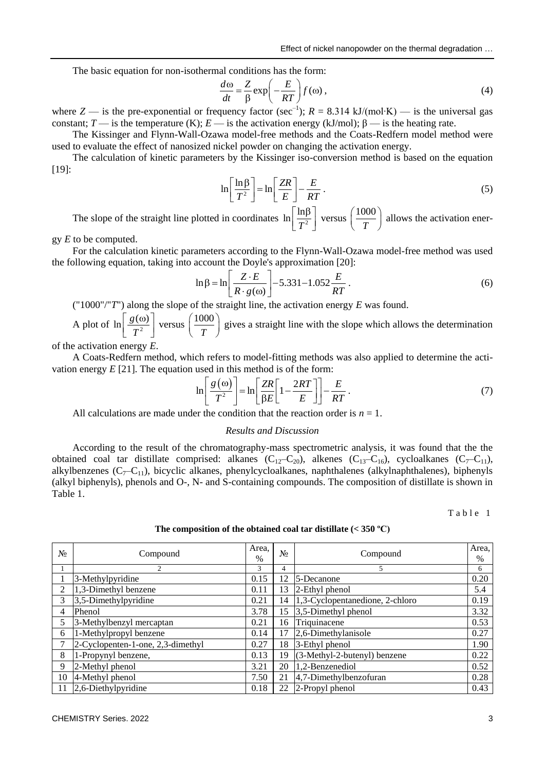Effect of nickel nanopowder on the thermal degradation …

The basic equation for non-isothermal conditions has the form:

$$
\frac{d\omega}{dt} = \frac{Z}{\beta} \exp\left(-\frac{E}{RT}\right) f(\omega),\tag{4}
$$

where *Z* — is the pre-exponential or frequency factor (sec<sup>-1</sup>);  $R = 8.314 \text{ kJ/(mol·K)}$  — is the universal gas constant; *T* — is the temperature (K); *E* — is the activation energy (kJ/mol);  $\beta$  — is the heating rate.

The Kissinger and Flynn-Wall-Ozawa model-free methods and the Coats-Redfern model method were used to evaluate the effect of nanosized nickel powder on changing the activation energy.

The calculation of kinetic parameters by the Kissinger iso-conversion method is based on the equation [19]:

$$
\ln\left[\frac{\ln\beta}{T^2}\right] = \ln\left[\frac{ZR}{E}\right] - \frac{E}{RT} \,. \tag{5}
$$

The slope of the straight line plotted in coordinates  $\ln \left[ \frac{\ln \beta}{T^2} \right]$ *T*  $\lceil \ln \beta \rceil$  $\left[\frac{\ln\beta}{T^2}\right]$  versus  $\left(\frac{1000}{T}\right)$  $\left(\frac{1000}{T}\right)$  allows the activation ener-

gy *E* to be computed.

For the calculation kinetic parameters according to the Flynn-Wall-Ozawa model-free method was used the following equation, taking into account the Doyle's approximation [20]:<br> $\ln \beta = \ln \left[ \frac{Z \cdot E}{-2.5331 - 1.052} \right]$ 

$$
\ln \beta = \ln \left[ \frac{Z \cdot E}{R \cdot g(\omega)} \right] - 5.331 - 1.052 \frac{E}{RT} \,. \tag{6}
$$

("1000"/"*T*") along the slope of the straight line, the activation energy *E* was found.

A plot of  $\ln \left[ \frac{g(\omega)}{T^2} \right]$ *T*  $\lceil g(\omega) \rceil$  $\left[\frac{g(\omega)}{T^2}\right]$  versus  $\left(\frac{1000}{T}\right)$  $\left(\frac{1000}{T}\right)$  gives a straight line with the slope which allows the determination

of the activation energy *E*.

A Coats-Redfern method, which refers to model-fitting methods was also applied to determine the acti-

vation energy E [21]. The equation used in this method is of the form:  
\n
$$
\ln \left[ \frac{g(\omega)}{T^2} \right] = \ln \left[ \frac{ZR}{\beta E} \left[ 1 - \frac{2RT}{E} \right] \right] - \frac{E}{RT}.
$$
\n(7)

All calculations are made under the condition that the reaction order is  $n = 1$ .

### *Results and Discussion*

Aсcording to the result of the chromatography-mass spectrometric analysis, it was found that the the obtained coal tar distillate comprised: alkanes  $(C_{12}-C_{20})$ , alkenes  $(C_{13}-C_{16})$ , cycloalkanes  $(C_{7}-C_{11})$ , alkylbenzenes ( $C_7-C_{11}$ ), bicyclic alkanes, phenylcycloalkanes, naphthalenes (alkylnaphthalenes), biphenyls (alkyl biphenyls), phenols and O-, N- and S-containing compounds. The composition of distillate is shown in Table 1.

Table 1

| The composition of the obtained coal tar distillate $(<$ 350 °C) |  |  |  |  |  |  |
|------------------------------------------------------------------|--|--|--|--|--|--|
|------------------------------------------------------------------|--|--|--|--|--|--|

| N <sub>2</sub> | Compound                          | Area,<br>$\%$ | $N_2$ | Compound                        | Area,<br>$\frac{0}{0}$ |
|----------------|-----------------------------------|---------------|-------|---------------------------------|------------------------|
|                | 2                                 | 3             | 4     | 5                               | 6                      |
|                | 3-Methylpyridine                  | 0.15          | 12    | 5-Decanone                      | 0.20                   |
| 2              | 1,3-Dimethyl benzene              | 0.11          | 13    | 2-Ethyl phenol                  | 5.4                    |
| 3              | $3,5$ -Dimethylpyridine           | 0.21          | 14    | 1,3-Cyclopentanedione, 2-chloro | 0.19                   |
| 4              | Phenol                            | 3.78          | 15    | 3,5-Dimethyl phenol             | 3.32                   |
| 5.             | 3-Methylbenzyl mercaptan          | 0.21          | 16    | Triquinacene                    | 0.53                   |
| 6              | 1-Methylpropyl benzene            | 0.14          | 17    | 2,6-Dimethylanisole             | 0.27                   |
| 7              | 2-Cyclopenten-1-one, 2,3-dimethyl | 0.27          | 18    | 3-Ethyl phenol                  | 1.90                   |
| 8              | 1-Propynyl benzene,               | 0.13          | 19    | (3-Methyl-2-butenyl) benzene    | 0.22                   |
| 9              | 2-Methyl phenol                   | 3.21          | 20    | 1,2-Benzenediol                 | 0.52                   |
| 10             | 4-Methyl phenol                   | 7.50          | 21    | 4,7-Dimethylbenzofuran          | 0.28                   |
| 11             | 2,6-Diethylpyridine               | 0.18          | 22    | 2-Propyl phenol                 | 0.43                   |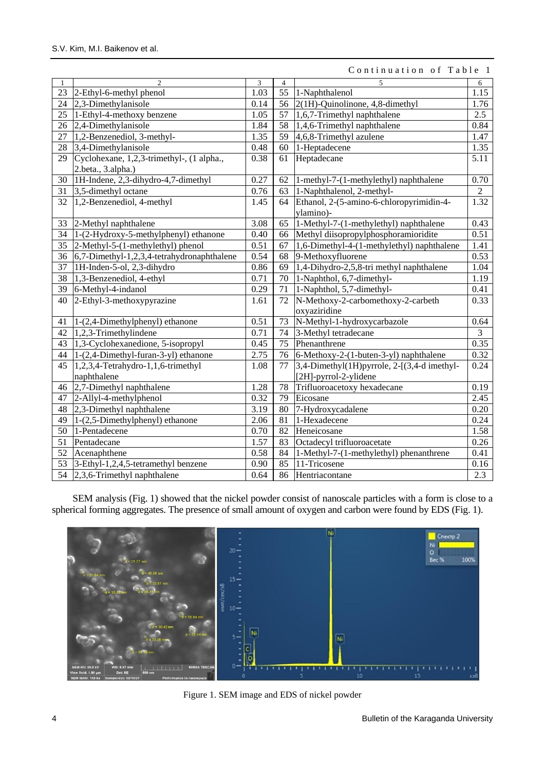| $\mathbf{1}$    | $\overline{2}$                             | 3    | $\overline{4}$  | 5                                           | $\sqrt{6}$     |
|-----------------|--------------------------------------------|------|-----------------|---------------------------------------------|----------------|
| 23              | 2-Ethyl-6-methyl phenol                    | 1.03 | $\overline{55}$ | 1-Naphthalenol                              | 1.15           |
| 24              | 2,3-Dimethylanisole                        | 0.14 | 56              | 2(1H)-Quinolinone, 4,8-dimethyl             | 1.76           |
| 25              | 1-Ethyl-4-methoxy benzene                  | 1.05 | 57              | 1,6,7-Trimethyl naphthalene                 | 2.5            |
| 26              | 2,4-Dimethylanisole                        | 1.84 | 58              | 1,4,6-Trimethyl naphthalene                 | 0.84           |
| 27              | 1,2-Benzenediol, 3-methyl-                 | 1.35 | 59              | 4,6,8-Trimethyl azulene                     | 1.47           |
| 28              | 3,4-Dimethylanisole                        | 0.48 | 60              | 1-Heptadecene                               | 1.35           |
| 29              | Cyclohexane, 1,2,3-trimethyl-, (1 alpha.,  | 0.38 | 61              | Heptadecane                                 | 5.11           |
|                 | 2.beta., 3.alpha.)                         |      |                 |                                             |                |
| 30              | 1H-Indene, 2,3-dihydro-4,7-dimethyl        | 0.27 | 62              | 1-methyl-7-(1-methylethyl) naphthalene      | 0.70           |
| 31              | 3,5-dimethyl octane                        | 0.76 | 63              | 1-Naphthalenol, 2-methyl-                   | $\overline{2}$ |
| 32              | 1,2-Benzenediol, 4-methyl                  | 1.45 | 64              | Ethanol, 2-(5-amino-6-chloropyrimidin-4-    | 1.32           |
|                 |                                            |      |                 | ylamino)-                                   |                |
| 33              | 2-Methyl naphthalene                       | 3.08 | 65              | 1-Methyl-7-(1-methylethyl) naphthalene      | 0.43           |
| 34              | 1-(2-Hydroxy-5-methylphenyl) ethanone      | 0.40 |                 | 66 Methyl diisopropylphosphoramioridite     | 0.51           |
| 35              | $\sqrt{2-Methyl-5-(1-methylethyl)}$ phenol | 0.51 | 67              | 1,6-Dimethyl-4-(1-methylethyl) naphthalene  | 1.41           |
| 36              | 6,7-Dimethyl-1,2,3,4-tetrahydronaphthalene | 0.54 | 68              | 9-Methoxyfluorene                           | 0.53           |
| 37              | 1H-Inden-5-ol, 2,3-dihydro                 | 0.86 | 69              | 1,4-Dihydro-2,5,8-tri methyl naphthalene    | 1.04           |
| $\overline{38}$ | 1,3-Benzenediol, 4-ethyl                   | 0.71 | 70              | 1-Naphthol, 6,7-dimethyl-                   | 1.19           |
| 39              | 6-Methyl-4-indanol                         | 0.29 | 71              | 1-Naphthol, 5,7-dimethyl-                   | 0.41           |
| 40              | 2-Ethyl-3-methoxypyrazine                  | 1.61 | 72              | N-Methoxy-2-carbomethoxy-2-carbeth          | 0.33           |
|                 |                                            |      |                 | oxyaziridine                                |                |
| 41              | 1-(2,4-Dimethylphenyl) ethanone            | 0.51 | 73              | N-Methyl-1-hydroxycarbazole                 | 0.64           |
| 42              | 1,2,3-Trimethylindene                      | 0.71 | 74              | 3-Methyl tetradecane                        | 3              |
| 43              | 1,3-Cyclohexanedione, 5-isopropyl          | 0.45 | 75              | Phenanthrene                                | 0.35           |
| 44              | 1-(2,4-Dimethyl-furan-3-yl) ethanone       | 2.75 | 76              | 6-Methoxy-2-(1-buten-3-yl) naphthalene      | 0.32           |
| 45              | 1,2,3,4-Tetrahydro-1,1,6-trimethyl         | 1.08 | 77              | 3,4-Dimethyl(1H)pyrrole, 2-[(3,4-d imethyl- | 0.24           |
|                 | naphthalene                                |      |                 | [2H]-pyrrol-2-ylidene                       |                |
| 46              | 2,7-Dimethyl naphthalene                   | 1.28 | 78              | Trifluoroacetoxy hexadecane                 | 0.19           |
| 47              | 2-Allyl-4-methylphenol                     | 0.32 | 79              | Eicosane                                    | 2.45           |
| 48              | 2,3-Dimethyl naphthalene                   | 3.19 | 80              | 7-Hydroxycadalene                           | 0.20           |
| 49              | 1-(2,5-Dimethylphenyl) ethanone            | 2.06 | 81              | 1-Hexadecene                                | 0.24           |
| 50              | 1-Pentadecene                              | 0.70 | 82              | Heneicosane                                 | 1.58           |
| 51              | Pentadecane                                | 1.57 | 83              | Octadecyl trifluoroacetate                  | 0.26           |
| 52              | Acenaphthene                               | 0.58 | 84              | 1-Methyl-7-(1-methylethyl) phenanthrene     | 0.41           |
| 53              | 3-Ethyl-1,2,4,5-tetramethyl benzene        | 0.90 | 85              | 11-Tricosene                                | 0.16           |
| 54              | $2,3,6$ -Trimethyl naphthalene             | 0.64 | 86              | Hentriacontane                              | 2.3            |

Continuation of Table 1

SEM analysis (Fig. 1) showed that the nickel powder consist of nanoscale particles with a form is close to a spherical forming aggregates. The presence of small amount of oxygen and carbon were found by EDS (Fig. 1).



Figure 1. SEM image and EDS of nickel powder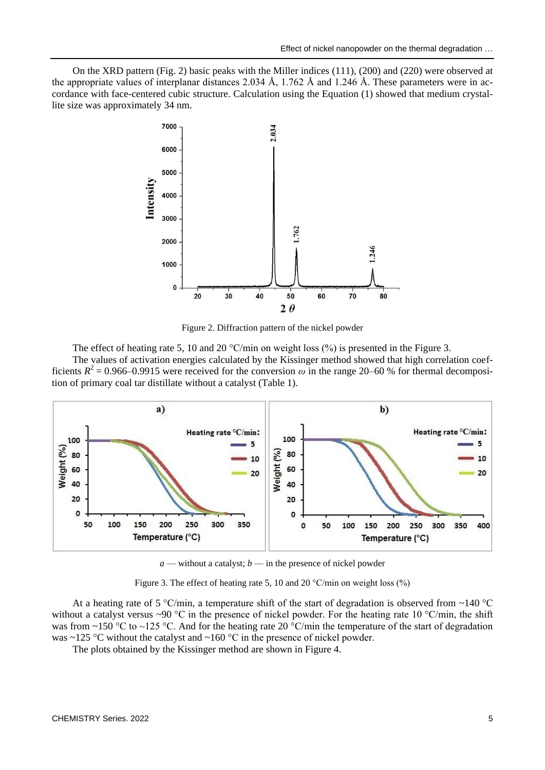On the XRD pattern (Fig. 2) basic peaks with the Miller indices (111), (200) and (220) were observed at the appropriate values of interplanar distances 2.034 Å, 1.762 Å and 1.246 Å. These parameters were in accordance with face-centered cubic structure. Calculation using the Equation (1) showed that medium crystallite size was approximately 34 nm.



Figure 2. Diffraction pattern of the nickel powder

The effect of heating rate 5, 10 and 20  $^{\circ}$ C/min on weight loss (%) is presented in the Figure 3. The values of activation energies calculated by the Kissinger method showed that high correlation coefficients  $R^2 = 0.966 - 0.9915$  were received for the conversion  $\omega$  in the range 20–60 % for thermal decomposition of primary coal tar distillate without a catalyst (Table 1).



 $a$  — without a catalyst;  $b$  — in the presence of nickel powder

Figure 3. The effect of heating rate 5, 10 and 20  $^{\circ}$ C/min on weight loss (%)

At a heating rate of 5 °C/min, a temperature shift of the start of degradation is observed from ~140 °C without a catalyst versus ~90 °C in the presence of nickel powder. For the heating rate 10 °C/min, the shift was from ~150 °C to ~125 °C. And for the heating rate 20 °C/min the temperature of the start of degradation was  $\sim$ 125 °C without the catalyst and  $\sim$ 160 °C in the presence of nickel powder.

The plots obtained by the Kissinger method are shown in Figure 4.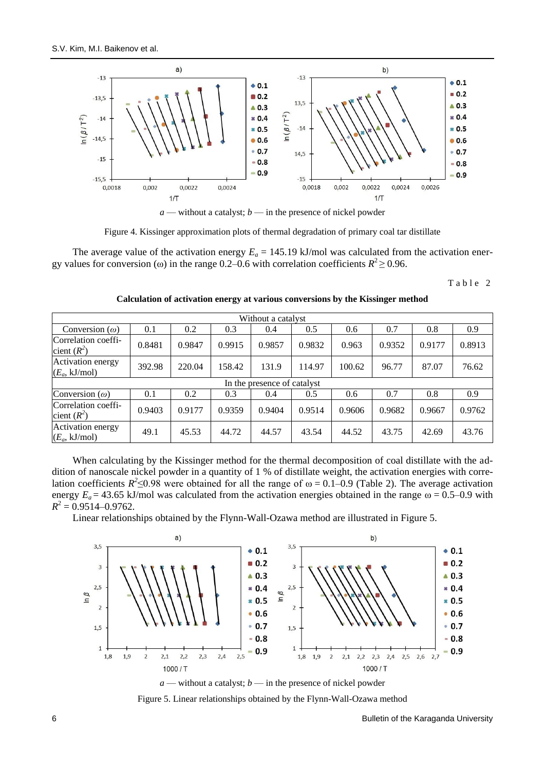

 $a$  — without a catalyst;  $b$  — in the presence of nickel powder

Figure 4. Kissinger approximation plots of thermal degradation of primary coal tar distillate

The average value of the activation energy  $E_a = 145.19$  kJ/mol was calculated from the activation energy values for conversion ( $\omega$ ) in the range 0.2–0.6 with correlation coefficients  $R^2 \ge 0.96$ .

Table 2

| Without a catalyst                   |                             |        |        |        |        |        |        |        |        |  |
|--------------------------------------|-----------------------------|--------|--------|--------|--------|--------|--------|--------|--------|--|
| Conversion $(\omega)$                | 0.1                         | 0.2    | 0.3    | 0.4    | 0.5    | 0.6    | 0.7    | 0.8    | 0.9    |  |
| Correlation coeffi-<br>cient $(R^2)$ | 0.8481                      | 0.9847 | 0.9915 | 0.9857 | 0.9832 | 0.963  | 0.9352 | 0.9177 | 0.8913 |  |
| Activation energy<br>$(E_a, kJ/mol)$ | 392.98                      | 220.04 | 158.42 | 131.9  | 114.97 | 100.62 | 96.77  | 87.07  | 76.62  |  |
|                                      | In the presence of catalyst |        |        |        |        |        |        |        |        |  |
| Conversion $(\omega)$                | 0.1                         | 0.2    | 0.3    | 0.4    | 0.5    | 0.6    | 0.7    | 0.8    | 0.9    |  |
| Correlation coeffi-<br>cient $(R^2)$ | 0.9403                      | 0.9177 | 0.9359 | 0.9404 | 0.9514 | 0.9606 | 0.9682 | 0.9667 | 0.9762 |  |
| Activation energy<br>$(E_a, kJ/mol)$ | 49.1                        | 45.53  | 44.72  | 44.57  | 43.54  | 44.52  | 43.75  | 42.69  | 43.76  |  |

### **Calculation of activation energy at various conversions by the Kissinger method**

When calculating by the Kissinger method for the thermal decomposition of coal distillate with the addition of nanoscale nickel powder in a quantity of 1 % of distillate weight, the activation energies with correlation coefficients  $R^2 \le 0.98$  were obtained for all the range of  $\omega = 0.1 - 0.9$  (Table 2). The average activation energy  $E_a = 43.65$  kJ/mol was calculated from the activation energies obtained in the range  $\omega = 0.5$ –0.9 with  $R^2 = 0.9514 - 0.9762$ .

Linear relationships obtained by the Flynn-Wall-Ozawa method are illustrated in Figure 5.





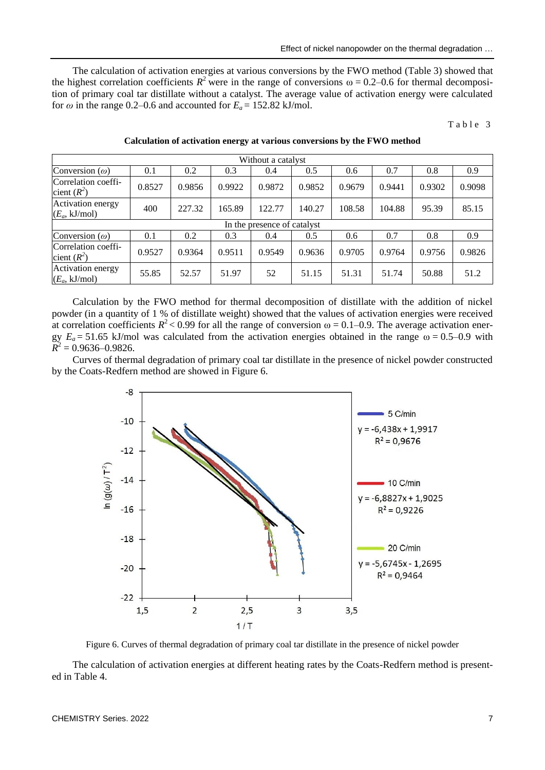The calculation of activation energies at various conversions by the FWO method (Table 3) showed that the highest correlation coefficients  $R^2$  were in the range of conversions  $\omega = 0.2$ –0.6 for thermal decomposition of primary coal tar distillate without a catalyst. The average value of activation energy were calculated for  $\omega$  in the range 0.2–0.6 and accounted for  $E_a = 152.82$  kJ/mol.

Table 3

| Without a catalyst                   |                             |        |        |        |        |        |        |        |        |  |
|--------------------------------------|-----------------------------|--------|--------|--------|--------|--------|--------|--------|--------|--|
| Conversion $(\omega)$                | 0.1                         | 0.2    | 0.3    | 0.4    | 0.5    | 0.6    | 0.7    | 0.8    | 0.9    |  |
| Correlation coeffi-<br>cient $(R^2)$ | 0.8527                      | 0.9856 | 0.9922 | 0.9872 | 0.9852 | 0.9679 | 0.9441 | 0.9302 | 0.9098 |  |
| Activation energy<br>$(E_a, kJ/mol)$ | 400                         | 227.32 | 165.89 | 122.77 | 140.27 | 108.58 | 104.88 | 95.39  | 85.15  |  |
|                                      | In the presence of catalyst |        |        |        |        |        |        |        |        |  |
| Conversion $(\omega)$                | 0.1                         | 0.2    | 0.3    | 0.4    | 0.5    | 0.6    | 0.7    | 0.8    | 0.9    |  |
| Correlation coeffi-<br>cient $(R^2)$ | 0.9527                      | 0.9364 | 0.9511 | 0.9549 | 0.9636 | 0.9705 | 0.9764 | 0.9756 | 0.9826 |  |
| Activation energy<br>$(E_a, kJ/mol)$ | 55.85                       | 52.57  | 51.97  | 52     | 51.15  | 51.31  | 51.74  | 50.88  | 51.2   |  |

### **Calculation of activation energy at various conversions by the FWO method**

Calculation by the FWO method for thermal decomposition of distillate with the addition of nickel powder (in a quantity of 1 % of distillate weight) showed that the values of activation energies were received at correlation coefficients  $R^2$  < 0.99 for all the range of conversion  $\omega$  = 0.1–0.9. The average activation energy  $E_a = 51.65$  kJ/mol was calculated from the activation energies obtained in the range  $\omega = 0.5 - 0.9$  with  $\overrightarrow{R}$ <sup>2</sup> = 0.9636–0.9826.

Curves of thermal degradation of primary coal tar distillate in the presence of nickel powder constructed by the Coats-Redfern method are showed in Figure 6.



Figure 6. Curves of thermal degradation of primary coal tar distillate in the presence of nickel powder

The calculation of activation energies at different heating rates by the Coats-Redfern method is presented in Table 4.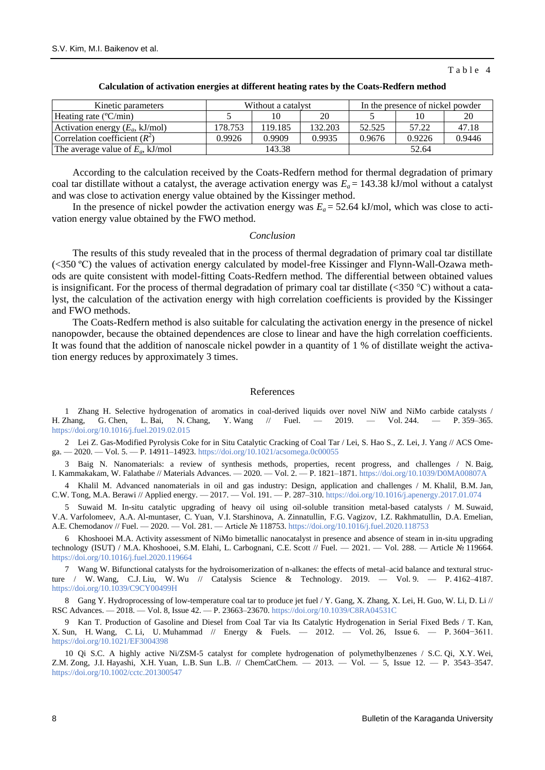#### Table 4

| Kinetic parameters                    | Without a catalyst |         |         | In the presence of nickel powder |        |        |  |
|---------------------------------------|--------------------|---------|---------|----------------------------------|--------|--------|--|
| Heating rate $(^{\circ}C/\text{min})$ |                    |         | 20      |                                  |        |        |  |
| Activation energy $(E_a, kJ/mol)$     | 178.753            | 119.185 | 132.203 | 52.525                           | 57.22  | 47.18  |  |
| Correlation coefficient $(R^2)$       | 0.9926             | 0.9909  | 0.9935  | 0.9676                           | 0.9226 | 0.9446 |  |
| The average value of $E_a$ , kJ/mol   |                    | 143.38  |         |                                  | 52.64  |        |  |

#### **Calculation of activation energies at different heating rates by the Coats-Redfern method**

According to the calculation received by the Coats-Redfern method for thermal degradation of primary coal tar distillate without a catalyst, the average activation energy was  $E_a = 143.38$  kJ/mol without a catalyst and was close to activation energy value obtained by the Kissinger method.

In the presence of nickel powder the activation energy was  $E_a = 52.64$  kJ/mol, which was close to activation energy value obtained by the FWO method.

#### *Conclusion*

The results of this study revealed that in the process of thermal degradation of primary coal tar distillate (<350 ºС) the values of activation energy calculated by model-free Kissinger and Flynn-Wall-Ozawa methods are quite consistent with model-fitting Coats-Redfern method. The differential between obtained values is insignificant. For the process of thermal degradation of primary coal tar distillate ( $\langle$ 350 °C) without a catalyst, the calculation of the activation energy with high correlation coefficients is provided by the Kissinger and FWO methods.

The Coats-Redfern method is also suitable for calculating the activation energy in the presence of nickel nanopowder, because the obtained dependences are close to linear and have the high correlation coefficients. It was found that the addition of nanoscale nickel powder in a quantity of 1 % of distillate weight the activation energy reduces by approximately 3 times.

#### References

1 Zhang H. Selective hydrogenation of aromatics in coal-derived liquids over novel NiW and NiMo carbide catalysts / H. Zhang, G. Chen, L. Bai, N. Chang, Y. Wang // Fuel. — 2019. — Vol. 244. — P. 359–365. <https://doi.org/10.1016/j.fuel.2019.02.015>

2 Lei Z. Gas-Modified Pyrolysis Coke for in Situ Catalytic Cracking of Coal Tar / Lei, S. Hao S., Z. Lei, J. Yang // ACS Ome $ga. -2020. - Vol. 5. - P. 14911-14923.$  https://doi.org/10.1021/acsomega.0c00055

3 Baig N. Nanomaterials: a review of synthesis methods, properties, recent progress, and challenges / N. Baig, I. Kammakakam, W. Falathabe // Materials Advances. — 2020. — Vol. 2. — P. 1821–1871[. https://doi.org/10.1039/D0MA00807A](https://doi.org/10.1039/D0MA00807A)

4 Khalil M. Advanced nanomaterials in oil and gas industry: Design, application and challenges / M. Khalil, B.M. Jan, C.W. Tong, M.A. Berawi // Applied energy. — 2017. — Vol. 191. — P. 287–310. <https://doi.org/10.1016/j.apenergy.2017.01.074>

5 Suwaid M. In-situ catalytic upgrading of heavy oil using oil-soluble transition metal-based catalysts / M. Suwaid, V.A. Varfolomeev, A.A. Al-muntaser, C. Yuan, V.I. Starshinova, A. Zinnatullin, F.G. Vagizov, I.Z. Rakhmatullin, D.A. Emelian, A.E. Chemodanov // Fuel. — 2020. — Vol. 281. — Article № 118753.<https://doi.org/10.1016/j.fuel.2020.118753>

6 Khoshooei M.A. Activity assessment of NiMo bimetallic nanocatalyst in presence and absence of steam in in-situ upgrading technology (ISUT) / M.A. Khoshooei, S.M. Elahi, L. Carbognani, C.E. Scott // Fuel. — 2021. — Vol. 288. — Article № 119664. <https://doi.org/10.1016/j.fuel.2020.119664>

Wang W. Bifunctional catalysts for the hydroisomerization of n-alkanes: the effects of metal–acid balance and textural structure / W. Wang, C.J. Liu, W. Wu // Catalysis Science & Technology. 2019. — Vol. 9. — P. 4162–4187. <https://doi.org/10.1039/C9CY00499H>

8 Gang Y. Hydroprocessing of low-temperature coal tar to produce jet fuel / Y. Gang, X. Zhang, X. Lei, H. Guo, W. Li, D. Li // RSC Advances. — 2018. — Vol. 8, Issue 42. — P. 23663–23670.<https://doi.org/10.1039/C8RA04531C>

9 Kan T. Production of Gasoline and Diesel from Coal Tar via Its Catalytic Hydrogenation in Serial Fixed Beds / T. Kan, X. Sun, H. Wang, C. Li, U. Muhammad // Energy & Fuels. — 2012. — Vol. 26, Issue 6. — P. 3604−3611. <https://doi.org/10.1021/EF3004398>

10 Qi S.C. A highly active Ni/ZSM-5 catalyst for complete hydrogenation of polymethylbenzenes / S.C. Qi, X.Y. Wei, Z.M. Zong, J.I. Hayashi, X.H. Yuan, L.B. Sun L.B. // ChemCatChem. — 2013. — Vol. — 5, Issue 12. — P. 3543–3547. <https://doi.org/10.1002/cctc.201300547>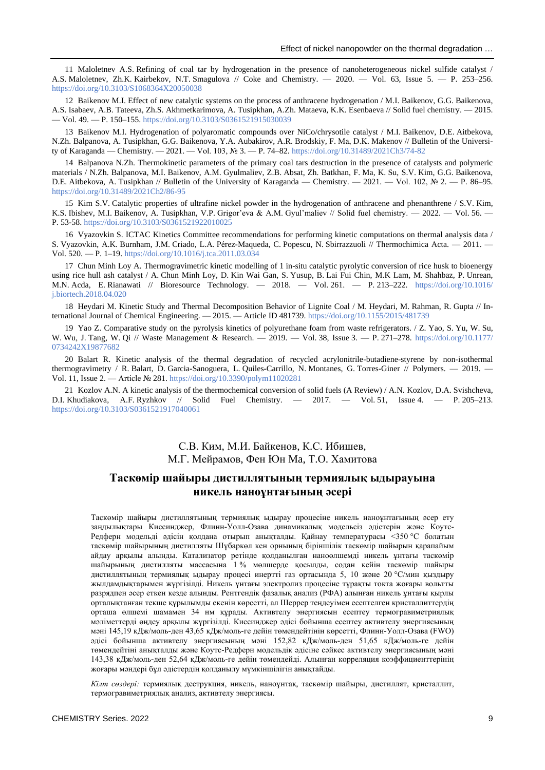11 Maloletnev A.S. Refining of coal tar by hydrogenation in the presence of nanoheterogeneous nickel sulfide catalyst / A.S. Maloletnev, Zh.K. Kairbekov, N.T. Smagulova // Coke and Chemistry. — 2020. — Vol. 63, Issue 5. — P. 253–256. <https://doi.org/10.3103/S1068364X20050038>

12 Baikenov M.I. Effect of new catalytic systems on the process of anthracene hydrogenation / M.I. Baikenov, G.G. Baikenova, A.S. Isabaev, A.B. Tateeva, Zh.S. Akhmetkarimova, A. Tusipkhan, A.Zh. Mataeva, K.K. Esenbaeva // Solid fuel chemistry. — 2015. — Vol. 49. — P. 150–155[. https://doi.org/10.3103/S0361521915030039](https://doi.org/10.3103/S0361521915030039)

13 Baikenov M.I. Hydrogenation of polyaromatic compounds over NiCo/chrysotile catalyst / M.I. Baikenov, D.E. Aitbekova, N.Zh. Balpanova, A. Tusipkhan, G.G. Baikenova, Y.A. Aubakirov, A.R. Brodskiy, F. Ма, D.K. Makenov // Bulletin of the University of Karaganda — Chemistry. — 2021. — Vol. 103, № 3. — P. 74–82.<https://doi.org/10.31489/2021Ch3/74-82>

14 Balpanova N.Zh. Thermokinetic parameters of the primary coal tars destruction in the presence of catalysts and polymeric materials / N.Zh. Balpanova, M.I. Baikenov, A.M. Gyulmaliev, Z.B. Absat, Zh. Batkhan, F. Ma, K. Su, S.V. Kim, G.G. Baikenova, D.E. Aitbekova, A. Tusipkhan // Bulletin of the University of Karaganda — Chemistry. — 2021. — Vol. 102, № 2. — P. 86–95. <https://doi.org/10.31489/2021Ch2/86-95>

15 Kim S.V. Catalytic properties of ultrafine nickel powder in the hydrogenation of anthracene and phenanthrene / S.V. Kim, K.S. Ibishev, M.I. Baikenov, A. Tusipkhan, V.P. Grigor'eva & A.M. Gyul'maliev // Solid fuel chemistry. — 2022. — Vol. 56. -P. 53-58[. https://doi.org/10.3103/S0361521922010025](https://doi.org/10.3103/S0361521922010025)

16 Vyazovkin S. ICTAC Kinetics Committee recommendations for performing kinetic computations on thermal analysis data / S. Vyazovkin, A.K. Burnham, J.M. Criado, L.A. Pérez-Maqueda, C. Popescu, N. Sbirrazzuoli // Thermochimica Acta. — 2011. — Vol. 520. — P. 1–19.<https://doi.org/10.1016/j.tca.2011.03.034>

17 Chun Minh Loy A. Thermogravimetric kinetic modelling of 1 in-situ catalytic pyrolytic conversion of rice husk to bioenergy using rice hull ash catalyst / A. Chun Minh Loy, D. Kin Wai Gan, S. Yusup, B. Lai Fui Chin, M.K Lam, M. Shahbaz, P. Unrean, M.N. Acda, E. Rianawati // Bioresource Technology. — 2018. — Vol. 261. — P. 213–222. [https://doi.org/10.1016/](https://doi.org/10.1016/j.biortech.2018.04.020) [j.biortech.2018.04.020](https://doi.org/10.1016/j.biortech.2018.04.020)

18 Heydari M. Kinetic Study and Thermal Decomposition Behavior of Lignite Coal / M. Heydari, M. Rahman, R. Gupta // International Journal of Chemical Engineering. — 2015. — Article ID 481739[. https://doi.org/10.1155/2015/481739](https://doi.org/10.1155/2015/481739)

19 Yao Z. Comparative study on the pyrolysis kinetics of polyurethane foam from waste refrigerators. / Z. Yao, S. Yu, W. Su, W. Wu, J. Tang, W. Qi // Waste Management & Research. — 2019. — Vol. 38, Issue 3. — P. 271–278. [https://doi.org/10.1177/](https://doi.org/10.1177/0734242X19877682) [0734242X19877682](https://doi.org/10.1177/0734242X19877682)

20 Balart R. Kinetic analysis of the thermal degradation of recycled acrylonitrile-butadiene-styrene by non-isothermal thermogravimetry / R. Balart, D. Garcia-Sanoguera, L. Quiles-Carrillo, N. Montanes, G. Torres-Giner // Polymers. — 2019. Vol. 11, Issue 2. — Article № 281[. https://doi.org/10.3390/polym11020281](https://doi.org/10.3390/polym11020281)

21 Kozlov A.N. A kinetic analysis of the thermochemical conversion of solid fuels (A Review) / A.N. Kozlov, D.A. Svishcheva, D.I. Khudiakova, A.F. Ryzhkov // Solid Fuel Chemistry. — 2017. — Vol. 51, Issue 4. — P. 205–213. <https://doi.org/10.3103/S0361521917040061>

# С.В. Ким, М.И. Байкенов, К.С. Ибишев, М.Г. Мейрамов, Фен Юн Ma, Т.О. Хамитова

## **Таскөмір шайыры дистиллятының термиялық ыдырауына никель наноұнтағының әсері**

Таскөмір шайыры дистиллятының термиялық ыдырау процесіне никель наноұнтағының әсер ету заңдылықтары Киссинджер, Флинн-Уолл-Озава динамикалық модельсіз әдістерін және Коутс-Редферн модельді әдісін қолдана отырып анықталды. Қайнау температурасы <350 °C болатын таскөмір шайырының дистилляты Шұбаркөл кен орнының біріншілік таскөмір шайырын қарапайым айдау арқылы алынды. Катализатор ретінде қолданылған наноөлшемді никель ұнтағы таскөмір шайырының дистилляты массасына 1 % мөлшерде қосылды, содан кейін таскөмір шайыры дистиллятының термиялық ыдырау процесі инертті газ ортасында 5, 10 және 20 °C/мин қыздыру жылдамдықтарымен жүргізілді. Никель ұнтағы электролиз процесіне тұрақты токта жоғары вольтты разрядпен әсер еткен кезде алынды. Рентгендік фазалық анализ (РФА) алынған никель ұнтағы қырлы орталықтанған текше құрылымды екенін көрсетті, ал Шеррер теңдеуімен есептелген кристаллиттердің орташа өлшемі шамамен 34 нм құрады. Активтелу энергиясын есептеу термогравиметриялық мәліметтерді өңдеу арқылы жүргізілді. Киссинджер әдісі бойынша есептеу активтелу энергиясының мәні 145,19 кДж/моль-ден 43,65 кДж/моль-ге дейін төмендейтінін көрсетті, Флинн-Уолл-Озава (FWO) әдісі бойынша активтелу энергиясының мәні 152,82 кДж/моль-ден 51,65 кДж/моль-ге дейін төмендейтіні анықталды және Коутс-Редферн модельдік әдісіне сәйкес активтелу энергиясының мәні 143,38 кДж/моль-ден 52,64 кДж/моль-ге дейін төмендейді. Алынған корреляция коэффициенттерінің жоғары мәндері бұл әдістердің қолданылу мүмкіншілігін анықтайды.

*Кілт сөздері:* термиялық деструкция, никель, наноұнтақ, таскөмір шайыры, дистиллят, кристаллит, термогравиметриялық анализ, активтелу энергиясы.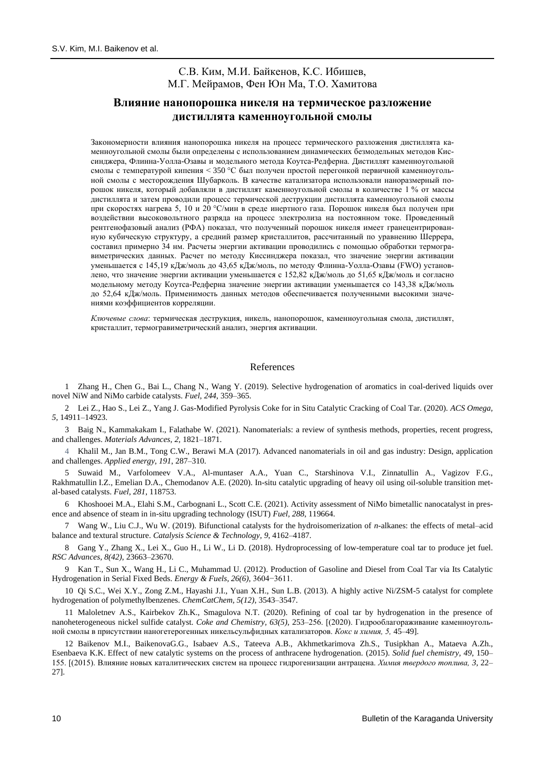## С.В. Ким, М.И. Байкенов, К.С. Ибишев, М.Г. Мейрамов, Фен Юн Ma, Т.О. Хамитова

## **Влияние нанопорошка никеля на термическое разложение дистиллята каменноугольной смолы**

Закономерности влияния нанопорошка никеля на процесс термического разложения дистиллята каменноугольной смолы были определены с использованием динамических безмодельных методов Киссинджера, Флинна-Уолла-Озавы и модельного метода Коутса-Редферна. Дистиллят каменноугольной смолы с температурой кипения < 350 °C был получен простой перегонкой первичной каменноугольной смолы с месторождения Шубарколь. В качестве катализатора использовали наноразмерный порошок никеля, который добавляли в дистиллят каменноугольной смолы в количестве 1 % от массы дистиллята и затем проводили процесс термической деструкции дистиллята каменноугольной смолы при скоростях нагрева 5, 10 и 20 °C/мин в среде инертного газа. Порошок никеля был получен при воздействии высоковольтного разряда на процесс электролиза на постоянном токе. Проведенный рентгенофазовый анализ (РФА) показал, что полученный порошок никеля имеет гранецентрированную кубическую структуру, а средний размер кристаллитов, рассчитанный по уравнению Шеррера, составил примерно 34 нм. Расчеты энергии активации проводились с помощью обработки термогравиметрических данных. Расчет по методу Киссинджера показал, что значение энергии активации уменьшается с 145,19 кДж/моль до 43,65 кДж/моль, по методу Флинна-Уолла-Озавы (FWO) установлено, что значение энергии активации уменьшается с 152,82 кДж/моль до 51,65 кДж/моль и согласно модельному методу Коутса-Редферна значение энергии активации уменьшается со 143,38 кДж/моль до 52,64 кДж/моль. Применимость данных методов обеспечивается полученными высокими значениями коэффициентов корреляции.

*Ключевые слова*: термическая деструкция, никель, нанопорошок, каменноугольная смола, дистиллят, кристаллит, термогравиметрический анализ, энергия активации.

### References

1 Zhang H., Chen G., Bai L., Chang N., Wang Y. (2019). Selective hydrogenation of aromatics in coal-derived liquids over novel NiW and NiMo carbide catalysts. *Fuel, 244*, 359–365.

2 Lei Z., Hao S., Lei Z., Yang J. Gas-Modified Pyrolysis Coke for in Situ Catalytic Cracking of Coal Tar. (2020). *ACS Omega, 5,* 14911–14923.

3 Baig N., Kammakakam I., Falathabe W. (2021). Nanomaterials: a review of synthesis methods, properties, recent progress, and challenges. *Materials Advances, 2,* 1821–1871.

4 Khalil M., Jan B.M., Tong C.W., Berawi M.A (2017). Advanced nanomaterials in oil and gas industry: Design, application and challenges. *Applied energy, 191*, 287–310.

5 Suwaid M., Varfolomeev V.A., Al-muntaser A.A., Yuan C., Starshinova V.I., Zinnatullin A., Vagizov F.G., Rakhmatullin I.Z., Emelian D.A., Chemodanov A.E. (2020). In-situ catalytic upgrading of heavy oil using oil-soluble transition metal-based catalysts. *Fuel, 281*, 118753.

6 Khoshooei M.A., Elahi S.M., Carbognani L., Scott C.E. (2021). Activity assessment of NiMo bimetallic nanocatalyst in presence and absence of steam in in-situ upgrading technology (ISUT) *Fuel, 288*, 119664.

7 Wang W., Liu C.J., Wu W. (2019). Bifunctional catalysts for the hydroisomerization of *n*-alkanes: the effects of metal–acid balance and textural structure. *Catalysis Science & Technology, 9*, 4162–4187.

8 Gang Y., Zhang X., Lei X., Guo H., Li W., Li D. (2018). Hydroprocessing of low-temperature coal tar to produce jet fuel. *RSC Advances, 8(42)*, 23663–23670.

9 Kan T., Sun X., Wang H., Li C., Muhammad U. (2012). Production of Gasoline and Diesel from Coal Tar via Its Catalytic Hydrogenation in Serial Fixed Beds. *Energy & Fuels, 26(6),* 3604−3611.

10 Qi S.C., Wei X.Y., Zong Z.M., Hayashi J.I., Yuan X.H., Sun L.B. (2013). A highly active Ni/ZSM-5 catalyst for complete hydrogenation of polymethylbenzenes. *ChemCatChem, 5(12)*, 3543–3547.

11 Maloletnev A.S., Kairbekov Zh.K., Smagulova N.T. (2020). Refining of coal tar by hydrogenation in the presence of nanoheterogeneous nickel sulfide catalyst. *Coke and Chemistry, 63(5)*, 253–256. [(2020). Гидрооблагораживание каменноугольной смолы в присутствии наногетерогенных никельсульфидных катализаторов. *Кокс и химия, 5,* 45–49].

12 Baikenov M.I., BaikenovaG.G., Isabaev A.S., Tateeva A.B., Akhmetkarimova Zh.S., Tusipkhan A., Mataeva A.Zh., Esenbaeva K.K. Effect of new catalytic systems on the process of anthracene hydrogenation. (2015). *Solid fuel chemistry, 49*, 150– 155. [(2015). Влияние новых каталитических систем на процесс гидрогенизации антрацена. *Химия твердого топлива, 3,* 22– 27].